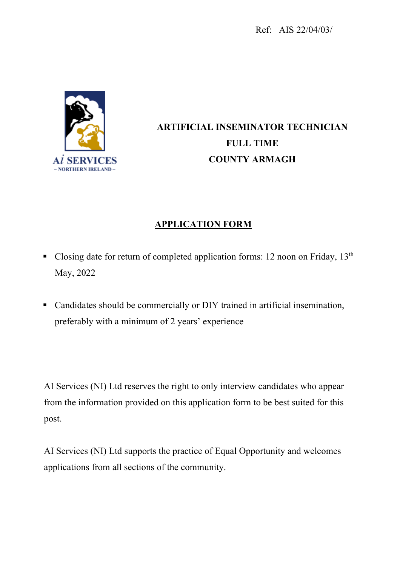Ref: AIS 22/04/03/



# **ARTIFICIAL INSEMINATOR TECHNICIAN FULL TIME COUNTY ARMAGH**

## **APPLICATION FORM**

- Closing date for return of completed application forms: 12 noon on Friday,  $13<sup>th</sup>$ May, 2022
- Candidates should be commercially or DIY trained in artificial insemination, preferably with a minimum of 2 years' experience

AI Services (NI) Ltd reserves the right to only interview candidates who appear from the information provided on this application form to be best suited for this post.

AI Services (NI) Ltd supports the practice of Equal Opportunity and welcomes applications from all sections of the community.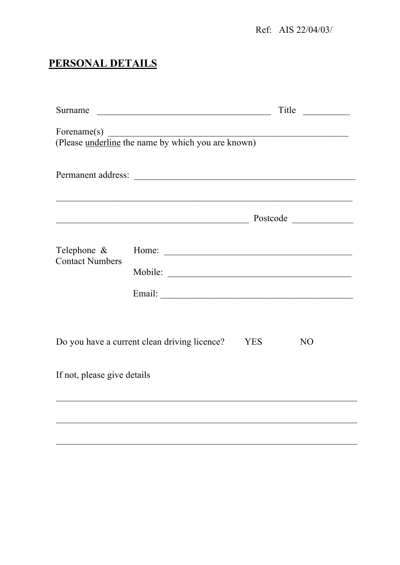Ref: AIS 22/04/03/

## PERSONAL DETAILS

| Surname                               | <u> 1989 - Johann Barbara, martxa alemaniar a</u>                                                                      |            | Title          |  |
|---------------------------------------|------------------------------------------------------------------------------------------------------------------------|------------|----------------|--|
| Forename $(s)$                        | Forename(s)<br>(Please <u>underline</u> the name by which you are known)                                               |            |                |  |
|                                       |                                                                                                                        |            |                |  |
|                                       |                                                                                                                        |            |                |  |
|                                       | <u> 1989 - Johann Stoff, deutscher Stoffen und der Stoffen und der Stoffen und der Stoffen und der Stoffen und der</u> |            | Postcode       |  |
| Telephone &<br><b>Contact Numbers</b> |                                                                                                                        |            |                |  |
|                                       |                                                                                                                        |            |                |  |
|                                       |                                                                                                                        |            |                |  |
|                                       | Do you have a current clean driving licence?                                                                           | <b>YES</b> | N <sub>O</sub> |  |
| If not, please give details           |                                                                                                                        |            |                |  |
|                                       |                                                                                                                        |            |                |  |
|                                       |                                                                                                                        |            |                |  |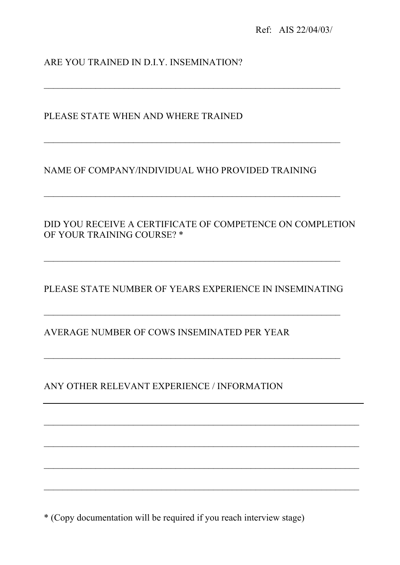## ARE YOU TRAINED IN D.I.Y. INSEMINATION?

PLEASE STATE WHEN AND WHERE TRAINED

## NAME OF COMPANY/INDIVIDUAL WHO PROVIDED TRAINING

 $\mathcal{L}_\text{max}$  , and the contribution of the contribution of the contribution of the contribution of the contribution of the contribution of the contribution of the contribution of the contribution of the contribution of t

 $\mathcal{L}_\text{max} = \frac{1}{2} \sum_{i=1}^n \mathcal{L}_\text{max}(\mathbf{z}_i - \mathbf{z}_i)$ 

DID YOU RECEIVE A CERTIFICATE OF COMPETENCE ON COMPLETION OF YOUR TRAINING COURSE? \*

PLEASE STATE NUMBER OF YEARS EXPERIENCE IN INSEMINATING

 $\mathcal{L}_\text{max} = \frac{1}{2} \sum_{i=1}^n \mathcal{L}_\text{max}(\mathbf{z}_i - \mathbf{z}_i)$ 

 $\mathcal{L}_\mathcal{L} = \mathcal{L}_\mathcal{L} = \mathcal{L}_\mathcal{L} = \mathcal{L}_\mathcal{L} = \mathcal{L}_\mathcal{L} = \mathcal{L}_\mathcal{L} = \mathcal{L}_\mathcal{L} = \mathcal{L}_\mathcal{L} = \mathcal{L}_\mathcal{L} = \mathcal{L}_\mathcal{L} = \mathcal{L}_\mathcal{L} = \mathcal{L}_\mathcal{L} = \mathcal{L}_\mathcal{L} = \mathcal{L}_\mathcal{L} = \mathcal{L}_\mathcal{L} = \mathcal{L}_\mathcal{L} = \mathcal{L}_\mathcal{L}$ 

 $\mathcal{L}_\text{max} = \frac{1}{2} \sum_{i=1}^n \mathcal{L}_\text{max}(\mathbf{z}_i - \mathbf{z}_i)$ 

AVERAGE NUMBER OF COWS INSEMINATED PER YEAR

ANY OTHER RELEVANT EXPERIENCE / INFORMATION

\* (Copy documentation will be required if you reach interview stage)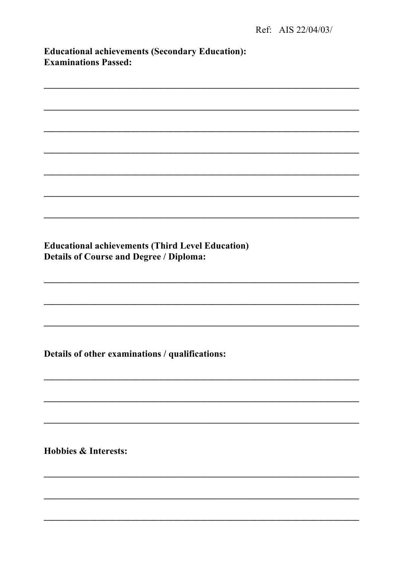| <b>Educational achievements (Secondary Education):</b> |  |
|--------------------------------------------------------|--|
| <b>Examinations Passed:</b>                            |  |

**Educational achievements (Third Level Education) Details of Course and Degree / Diploma:** 

Details of other examinations / qualifications:

**Hobbies & Interests:**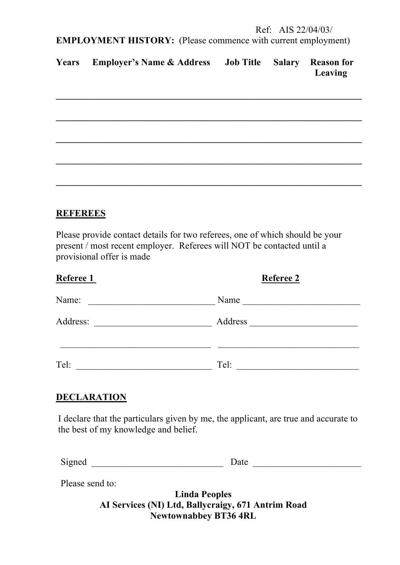**EMPLOYMENT HISTORY:** (Please commence with current employment)

| Years Employer's Name & Address Job Title Salary Reason for |  |         |
|-------------------------------------------------------------|--|---------|
|                                                             |  | Leaving |

| <u> 1989 - Andrea Stadt Andrea Stadt Andrea Stadt Andrea Stadt Andrea Stadt Andrea Stadt Andrea Stadt Andrea Stadt</u> |  |  |
|------------------------------------------------------------------------------------------------------------------------|--|--|
|                                                                                                                        |  |  |
|                                                                                                                        |  |  |
|                                                                                                                        |  |  |
|                                                                                                                        |  |  |
|                                                                                                                        |  |  |

## **REFEREES**

Please provide contact details for two referees, one of which should be your present / most recent employer. Referees will NOT be contacted until a provisional offer is made

| Referee 1 | <b>Referee 2</b> |
|-----------|------------------|
| Name:     | Name             |
| Address:  | Address          |
| Tel:      | Tel:             |

## **DECLARATION**

I declare that the particulars given by me, the applicant, are true and accurate to the best of my knowledge and belief.

| Ë<br>Signed<br>Jate |  |
|---------------------|--|
|---------------------|--|

Please send to:

**Linda Peoples AI Services (NI) Ltd, Ballycraigy, 671 Antrim Road Newtownabbey BT36 4RL**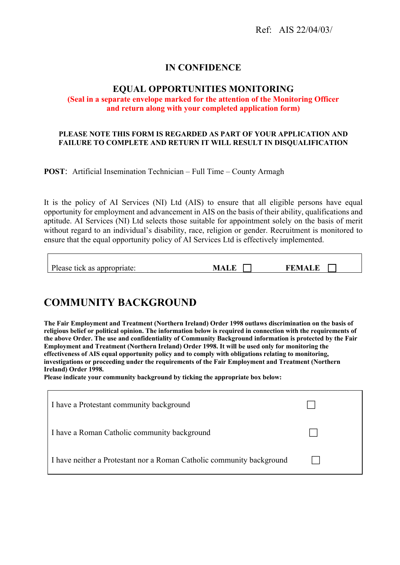### **IN CONFIDENCE**

#### **EQUAL OPPORTUNITIES MONITORING**

#### **(Seal in a separate envelope marked for the attention of the Monitoring Officer and return along with your completed application form)**

#### **PLEASE NOTE THIS FORM IS REGARDED AS PART OF YOUR APPLICATION AND FAILURE TO COMPLETE AND RETURN IT WILL RESULT IN DISQUALIFICATION**

**POST**: Artificial Insemination Technician – Full Time – County Armagh

It is the policy of AI Services (NI) Ltd (AIS) to ensure that all eligible persons have equal opportunity for employment and advancement in AIS on the basis of their ability, qualifications and aptitude. AI Services (NI) Ltd selects those suitable for appointment solely on the basis of merit without regard to an individual's disability, race, religion or gender. Recruitment is monitored to ensure that the equal opportunity policy of AI Services Ltd is effectively implemented.

| Please tick as appropriate:<br>FEM.<br><b>MALL</b><br>ALC |  |
|-----------------------------------------------------------|--|
|-----------------------------------------------------------|--|

## **COMMUNITY BACKGROUND**

**The Fair Employment and Treatment (Northern Ireland) Order 1998 outlaws discrimination on the basis of religious belief or political opinion. The information below is required in connection with the requirements of the above Order. The use and confidentiality of Community Background information is protected by the Fair Employment and Treatment (Northern Ireland) Order 1998. It will be used only for monitoring the effectiveness of AIS equal opportunity policy and to comply with obligations relating to monitoring, investigations or proceeding under the requirements of the Fair Employment and Treatment (Northern Ireland) Order 1998.**

**Please indicate your community background by ticking the appropriate box below:**

| I have a Protestant community background                              |  |
|-----------------------------------------------------------------------|--|
| I have a Roman Catholic community background                          |  |
| I have neither a Protestant nor a Roman Catholic community background |  |